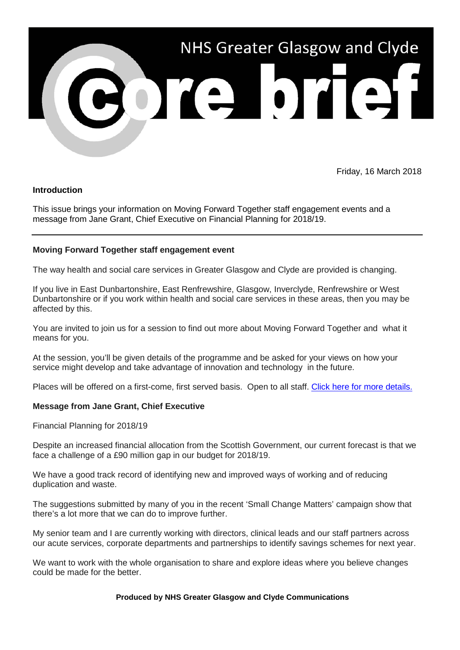

Friday, 16 March 2018

# **Introduction**

This issue brings your information on Moving Forward Together staff engagement events and a message from Jane Grant, Chief Executive on Financial Planning for 2018/19.

### **Moving Forward Together staff engagement event**

The way health and social care services in Greater Glasgow and Clyde are provided is changing.

If you live in East Dunbartonshire, East Renfrewshire, Glasgow, Inverclyde, Renfrewshire or West Dunbartonshire or if you work within health and social care services in these areas, then you may be affected by this.

You are invited to join us for a session to find out more about Moving Forward Together and what it means for you.

At the session, you'll be given details of the programme and be asked for your views on how your service might develop and take advantage of innovation and technology in the future.

Places will be offered on a first-come, first served basis. Open to all staff. [Click here for more details.](http://www.movingforwardtogetherggc.org/media/246920/mft-staff-events-2018-flyer.pdf)

### **Message from Jane Grant, Chief Executive**

Financial Planning for 2018/19

Despite an increased financial allocation from the Scottish Government, our current forecast is that we face a challenge of a £90 million gap in our budget for 2018/19.

We have a good track record of identifying new and improved ways of working and of reducing duplication and waste.

The suggestions submitted by many of you in the recent 'Small Change Matters' campaign show that there's a lot more that we can do to improve further.

My senior team and I are currently working with directors, clinical leads and our staff partners across our acute services, corporate departments and partnerships to identify savings schemes for next year.

We want to work with the whole organisation to share and explore ideas where you believe changes could be made for the better.

#### **Produced by NHS Greater Glasgow and Clyde Communications**